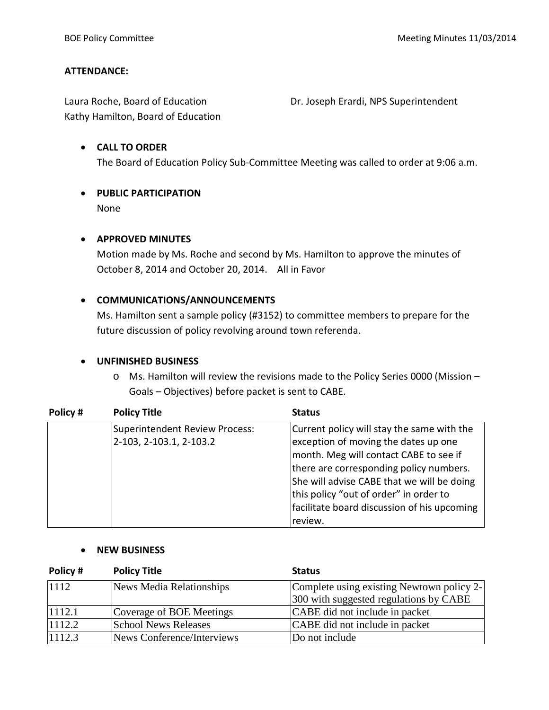#### **ATTENDANCE:**

Laura Roche, Board of Education **Dr. Joseph Erardi, NPS Superintendent** Kathy Hamilton, Board of Education

### • **CALL TO ORDER** The Board of Education Policy Sub-Committee Meeting was called to order at 9:06 a.m.

#### • **PUBLIC PARTICIPATION** None

# • **APPROVED MINUTES**

Motion made by Ms. Roche and second by Ms. Hamilton to approve the minutes of October 8, 2014 and October 20, 2014. All in Favor

#### • **COMMUNICATIONS/ANNOUNCEMENTS**

Ms. Hamilton sent a sample policy (#3152) to committee members to prepare for the future discussion of policy revolving around town referenda.

#### • **UNFINISHED BUSINESS**

o Ms. Hamilton will review the revisions made to the Policy Series 0000 (Mission – Goals – Objectives) before packet is sent to CABE.

| Policy# | <b>Policy Title</b>            | <b>Status</b>                               |
|---------|--------------------------------|---------------------------------------------|
|         | Superintendent Review Process: | Current policy will stay the same with the  |
|         | 2-103, 2-103.1, 2-103.2        | exception of moving the dates up one        |
|         |                                | month. Meg will contact CABE to see if      |
|         |                                | there are corresponding policy numbers.     |
|         |                                | She will advise CABE that we will be doing  |
|         |                                | this policy "out of order" in order to      |
|         |                                | facilitate board discussion of his upcoming |
|         |                                | review.                                     |

#### • **NEW BUSINESS**

| Policy# | <b>Policy Title</b>         | <b>Status</b>                             |
|---------|-----------------------------|-------------------------------------------|
| 1112    | News Media Relationships    | Complete using existing Newtown policy 2- |
|         |                             | 300 with suggested regulations by CABE    |
| 1112.1  | Coverage of BOE Meetings    | CABE did not include in packet            |
| 1112.2  | <b>School News Releases</b> | CABE did not include in packet            |
| 1112.3  | News Conference/Interviews  | Do not include                            |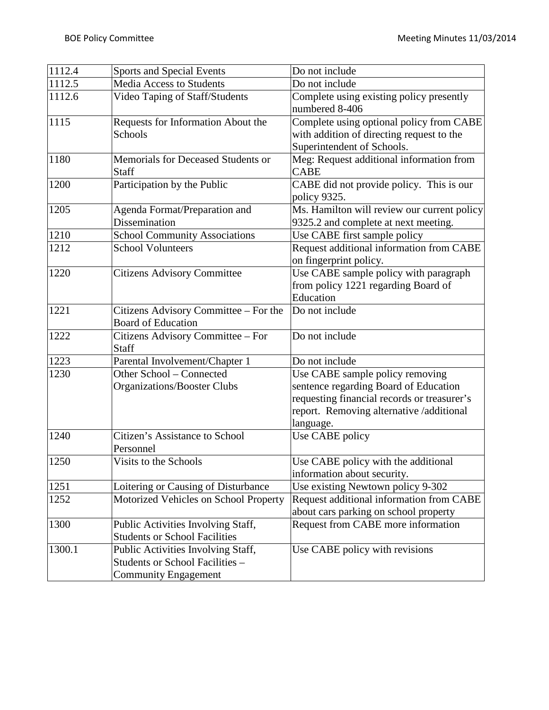| 1112.4 | <b>Sports and Special Events</b>                                                                     | Do not include                                                                                                                                                                   |  |
|--------|------------------------------------------------------------------------------------------------------|----------------------------------------------------------------------------------------------------------------------------------------------------------------------------------|--|
| 1112.5 | <b>Media Access to Students</b>                                                                      | Do not include                                                                                                                                                                   |  |
| 1112.6 | Video Taping of Staff/Students                                                                       | Complete using existing policy presently<br>numbered 8-406                                                                                                                       |  |
| 1115   | Requests for Information About the<br>Schools                                                        | Complete using optional policy from CABE<br>with addition of directing request to the<br>Superintendent of Schools.                                                              |  |
| 1180   | Memorials for Deceased Students or<br><b>Staff</b>                                                   | Meg: Request additional information from<br><b>CABE</b>                                                                                                                          |  |
| 1200   | Participation by the Public                                                                          | CABE did not provide policy. This is our<br>policy 9325.                                                                                                                         |  |
| 1205   | Agenda Format/Preparation and<br>Dissemination                                                       | Ms. Hamilton will review our current policy<br>9325.2 and complete at next meeting.                                                                                              |  |
| 1210   | <b>School Community Associations</b>                                                                 | Use CABE first sample policy                                                                                                                                                     |  |
| 1212   | <b>School Volunteers</b>                                                                             | Request additional information from CABE<br>on fingerprint policy.                                                                                                               |  |
| 1220   | <b>Citizens Advisory Committee</b>                                                                   | Use CABE sample policy with paragraph<br>from policy 1221 regarding Board of<br>Education                                                                                        |  |
| 1221   | Citizens Advisory Committee - For the<br><b>Board of Education</b>                                   | Do not include                                                                                                                                                                   |  |
| 1222   | Citizens Advisory Committee - For<br><b>Staff</b>                                                    | Do not include                                                                                                                                                                   |  |
| 1223   | Parental Involvement/Chapter 1                                                                       | Do not include                                                                                                                                                                   |  |
| 1230   | Other School - Connected<br>Organizations/Booster Clubs                                              | Use CABE sample policy removing<br>sentence regarding Board of Education<br>requesting financial records or treasurer's<br>report. Removing alternative /additional<br>language. |  |
| 1240   | Citizen's Assistance to School<br>Personnel                                                          | Use CABE policy                                                                                                                                                                  |  |
| 1250   | Visits to the Schools                                                                                | Use CABE policy with the additional<br>information about security.                                                                                                               |  |
| 1251   | Loitering or Causing of Disturbance                                                                  | Use existing Newtown policy 9-302                                                                                                                                                |  |
| 1252   | Motorized Vehicles on School Property                                                                | Request additional information from CABE<br>about cars parking on school property                                                                                                |  |
| 1300   | Public Activities Involving Staff,<br><b>Students or School Facilities</b>                           | Request from CABE more information                                                                                                                                               |  |
| 1300.1 | Public Activities Involving Staff,<br>Students or School Facilities -<br><b>Community Engagement</b> | Use CABE policy with revisions                                                                                                                                                   |  |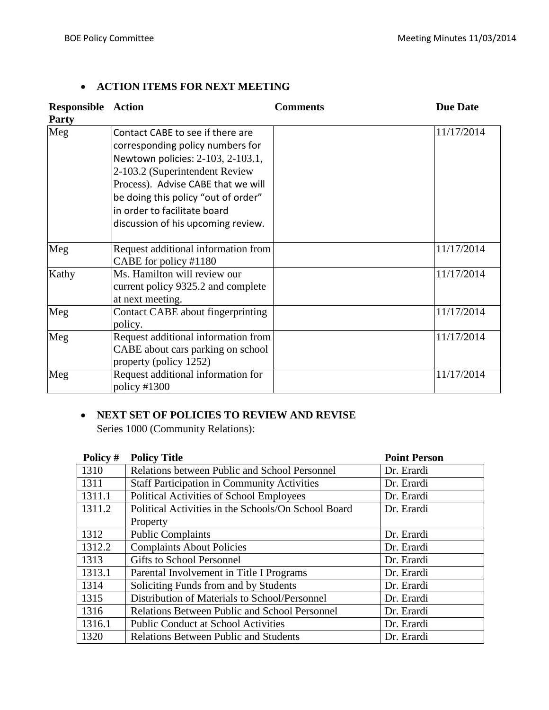### • **ACTION ITEMS FOR NEXT MEETING**

| <b>Responsible Action</b><br>Party |                                                                                                                                                                                                                                                                                                | <b>Comments</b> | <b>Due Date</b> |
|------------------------------------|------------------------------------------------------------------------------------------------------------------------------------------------------------------------------------------------------------------------------------------------------------------------------------------------|-----------------|-----------------|
| Meg                                | Contact CABE to see if there are<br>corresponding policy numbers for<br>Newtown policies: 2-103, 2-103.1,<br>2-103.2 (Superintendent Review<br>Process). Advise CABE that we will<br>be doing this policy "out of order"<br>in order to facilitate board<br>discussion of his upcoming review. |                 | 11/17/2014      |
| Meg                                | Request additional information from<br>CABE for policy #1180                                                                                                                                                                                                                                   |                 | 11/17/2014      |
| Kathy                              | Ms. Hamilton will review our<br>current policy 9325.2 and complete<br>at next meeting.                                                                                                                                                                                                         |                 | 11/17/2014      |
| Meg                                | Contact CABE about fingerprinting<br>policy.                                                                                                                                                                                                                                                   |                 | 11/17/2014      |
| Meg                                | Request additional information from<br>CABE about cars parking on school<br>property (policy 1252)                                                                                                                                                                                             |                 | 11/17/2014      |
| Meg                                | Request additional information for<br>policy $\#1300$                                                                                                                                                                                                                                          |                 | 11/17/2014      |

#### • **NEXT SET OF POLICIES TO REVIEW AND REVISE**

Series 1000 (Community Relations):

| Policy # | <b>Policy Title</b>                                  | <b>Point Person</b> |
|----------|------------------------------------------------------|---------------------|
| 1310     | Relations between Public and School Personnel        | Dr. Erardi          |
| 1311     | <b>Staff Participation in Community Activities</b>   | Dr. Erardi          |
| 1311.1   | Political Activities of School Employees             | Dr. Erardi          |
| 1311.2   | Political Activities in the Schools/On School Board  | Dr. Erardi          |
|          | Property                                             |                     |
| 1312     | <b>Public Complaints</b>                             | Dr. Erardi          |
| 1312.2   | <b>Complaints About Policies</b>                     | Dr. Erardi          |
| 1313     | Gifts to School Personnel                            | Dr. Erardi          |
| 1313.1   | Parental Involvement in Title I Programs             | Dr. Erardi          |
| 1314     | Soliciting Funds from and by Students                | Dr. Erardi          |
| 1315     | Distribution of Materials to School/Personnel        | Dr. Erardi          |
| 1316     | <b>Relations Between Public and School Personnel</b> | Dr. Erardi          |
| 1316.1   | <b>Public Conduct at School Activities</b>           | Dr. Erardi          |
| 1320     | <b>Relations Between Public and Students</b>         | Dr. Erardi          |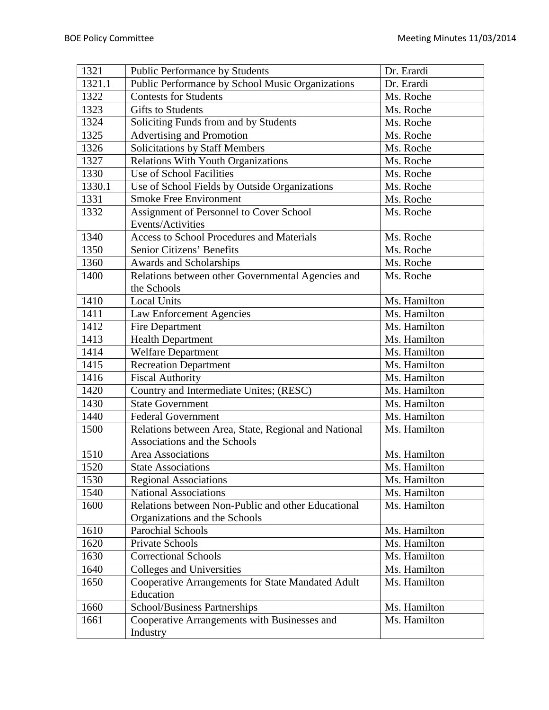| 1321   | Public Performance by Students                       | Dr. Erardi   |
|--------|------------------------------------------------------|--------------|
| 1321.1 | Public Performance by School Music Organizations     | Dr. Erardi   |
| 1322   | <b>Contests for Students</b>                         | Ms. Roche    |
| 1323   | <b>Gifts to Students</b>                             | Ms. Roche    |
| 1324   | Soliciting Funds from and by Students                | Ms. Roche    |
| 1325   | Advertising and Promotion                            | Ms. Roche    |
| 1326   | Solicitations by Staff Members                       | Ms. Roche    |
| 1327   | Relations With Youth Organizations                   | Ms. Roche    |
| 1330   | Use of School Facilities                             | Ms. Roche    |
| 1330.1 | Use of School Fields by Outside Organizations        | Ms. Roche    |
| 1331   | <b>Smoke Free Environment</b>                        | Ms. Roche    |
| 1332   | Assignment of Personnel to Cover School              | Ms. Roche    |
|        | Events/Activities                                    |              |
| 1340   | <b>Access to School Procedures and Materials</b>     | Ms. Roche    |
| 1350   | Senior Citizens' Benefits                            | Ms. Roche    |
| 1360   | Awards and Scholarships                              | Ms. Roche    |
| 1400   | Relations between other Governmental Agencies and    | Ms. Roche    |
|        | the Schools                                          |              |
| 1410   | <b>Local Units</b>                                   | Ms. Hamilton |
| 1411   | Law Enforcement Agencies                             | Ms. Hamilton |
| 1412   | Fire Department                                      | Ms. Hamilton |
| 1413   | <b>Health Department</b>                             | Ms. Hamilton |
| 1414   | <b>Welfare Department</b>                            | Ms. Hamilton |
| 1415   | <b>Recreation Department</b>                         | Ms. Hamilton |
| 1416   | <b>Fiscal Authority</b>                              | Ms. Hamilton |
| 1420   | Country and Intermediate Unites; (RESC)              | Ms. Hamilton |
| 1430   | <b>State Government</b>                              | Ms. Hamilton |
| 1440   | <b>Federal Government</b>                            | Ms. Hamilton |
| 1500   | Relations between Area, State, Regional and National | Ms. Hamilton |
|        | Associations and the Schools                         |              |
| 1510   | Area Associations                                    | Ms. Hamilton |
| 1520   | <b>State Associations</b>                            | Ms. Hamilton |
| 1530   | <b>Regional Associations</b>                         | Ms. Hamilton |
| 1540   | <b>National Associations</b>                         | Ms. Hamilton |
| 1600   | Relations between Non-Public and other Educational   | Ms. Hamilton |
|        | Organizations and the Schools                        |              |
| 1610   | <b>Parochial Schools</b>                             | Ms. Hamilton |
| 1620   | Private Schools                                      | Ms. Hamilton |
| 1630   | <b>Correctional Schools</b>                          | Ms. Hamilton |
| 1640   | <b>Colleges and Universities</b>                     | Ms. Hamilton |
| 1650   | Cooperative Arrangements for State Mandated Adult    | Ms. Hamilton |
|        | Education                                            |              |
| 1660   | School/Business Partnerships                         | Ms. Hamilton |
| 1661   | Cooperative Arrangements with Businesses and         | Ms. Hamilton |
|        | Industry                                             |              |